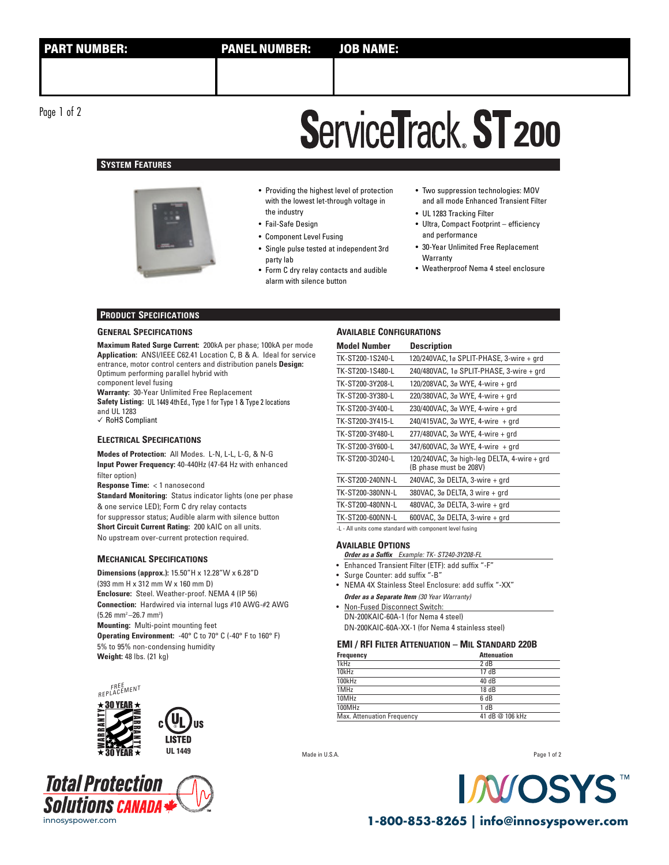Page 1 of 2

# **ServiceTrack ST 200**

# **SYSTEM FEATURES**



• Providing the highest level of protection with the lowest let-through voltage in the industry

- Fail-Safe Design
- Component Level Fusing
- Single pulse tested at independent 3rd party lab
- Form C dry relay contacts and audible alarm with silence button
- Two suppression technologies: MOV and all mode Enhanced Transient Filter
- UL 1283 Tracking Filter • Ultra, Compact Footprint – efficiency
- and performance
- 30-Year Unlimited Free Replacement **Warranty**
- Weatherproof Nema 4 steel enclosure

## **PRODUCT SPECIFICATIONS**

#### **GENERAL SPECIFICATIONS**

**Maximum Rated Surge Current:** 200kA per phase; 100kA per mode **Application:** ANSI/IEEE C62.41 Location C, B & A. Ideal for service entrance, motor control centers and distribution panels **Design:**  Optimum performing parallel hybrid with component level fusing

**Warranty:** 30-Year Unlimited Free Replacement **Safety Listing:** UL 1449 4thEd., Type 1 for Type 1 & Type 2 locations and UL 1283 ✓ RoHS Compliant

## **ELECTRICAL SPECIFICATIONS**

**Modes of Protection:** All Modes. L-N, L-L, L-G, & N-G **Input Power Frequency:** 40-440Hz (47-64 Hz with enhanced filter option)

**Response Time: <1 nanosecond** 

**Standard Monitoring:** Status indicator lights (one per phase & one service LED); Form C dry relay contacts for suppressor status; Audible alarm with silence button **Short Circuit Current Rating:** 200 kAIC on all units. No upstream over-current protection required.

#### **MECHANICAL SPECIFICATIONS**

**Dimensions (approx.):** 15.50"H x 12.28"W x 6.28"D (393 mm H x 312 mm W x 160 mm D) **Enclosure:** Steel. Weather-proof. NEMA 4 (IP 56) **Connection:** Hardwired via internal lugs #10 AWG-#2 AWG  $(5.26 \text{ mm}^2 - 26.7 \text{ mm}^2)$ **Mounting:** Multi-point mounting feet **Operating Environment:** -40° C to 70° C (-40° F to 160° F) 5% to 95% non-condensing humidity **Weight:** 48 lbs. (21 kg)





#### **AVAILABLE CONFIGURATIONS**

| <b>Model Number</b> | <b>Description</b>                                                    |
|---------------------|-----------------------------------------------------------------------|
| TK-ST200-1S240-L    | 120/240VAC, 1ø SPLIT-PHASE, 3-wire + grd                              |
| TK-ST200-1S480-L    | 240/480VAC, 1ø SPLIT-PHASE, 3-wire + grd                              |
| TK-ST200-3Y208-L    | 120/208VAC, 3ø WYE, 4-wire + grd                                      |
| TK-ST200-3Y380-L    | 220/380VAC, 3ø WYE, 4-wire + grd                                      |
| TK-ST200-3Y400-L    | 230/400VAC, 3ø WYE, 4-wire + grd                                      |
| TK-ST200-3Y415-L    | 240/415VAC, 3ø WYE, 4-wire + grd                                      |
| TK-ST200-3Y480-L    | 277/480VAC, 3ø WYE, 4-wire + grd                                      |
| TK-ST200-3Y600-L    | 347/600VAC, 3ø WYE, 4-wire + grd                                      |
| TK-ST200-3D240-L    | 120/240VAC, 3ø high-leg DELTA, 4-wire + grd<br>(B phase must be 208V) |
| TK-ST200-240NN-L    | 240VAC, $3\sigma$ DELTA, $3$ -wire $+$ qrd                            |
| TK-ST200-380NN-L    | 380VAC, 3ø DELTA, 3 wire + grd                                        |
| TK-ST200-480NN-L    | 480VAC, 3ø DELTA, 3-wire + grd                                        |
| TK-ST200-600NN-L    | 600VAC, $3\sigma$ DELTA, $3$ -wire + grd                              |
|                     |                                                                       |

-L - All units come standard with component level fusing

#### **AVAILABLE OPTIONS**

- **Order as a Suffix** Example: TK- ST240-3Y208-FL
- Enhanced Transient Filter (ETF): add suffix "-F"
- Surge Counter: add suffix "-B"
- NEMA 4X Stainless Steel Enclosure: add suffix "-XX" **Order as a Separate Item** (30 Year Warranty)
- Non-Fused Disconnect Switch: DN-200KAIC-60A-1 (for Nema 4 steel) DN-200KAIC-60A-XX-1 (for Nema 4 stainless steel)

#### **EMI / RFI FILTER ATTENUATION – MIL STANDARD 220B**

| Frequency                  | <b>Attenuation</b> |
|----------------------------|--------------------|
| 1kHz                       | 2 dB               |
| 10kHz                      | 17 dB              |
| 100kHz                     | 40 dB              |
| 1MHz                       | 18 dB              |
| 10MHz                      | 6 dB               |
| 100MHz                     | 1 dB               |
| Max. Attenuation Frequency | 41 dB @ 106 kHz    |
|                            |                    |

Made in U.S.A.

Page 1 of 2



innosyspower.com **1-800-853-8265 | info@innosyspower.com**